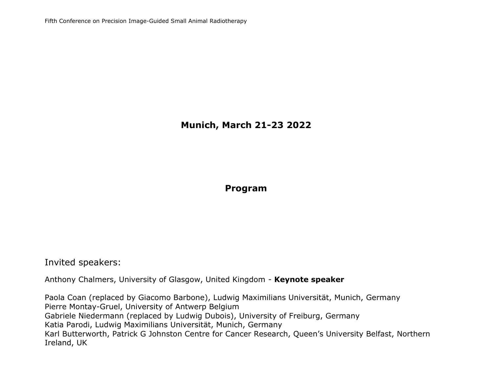# **Munich, March 21-23 2022**

**Program**

Invited speakers:

Anthony Chalmers, University of Glasgow, United Kingdom - **Keynote speaker**

Paola Coan (replaced by Giacomo Barbone), Ludwig Maximilians Universität, Munich, Germany Pierre Montay-Gruel, University of Antwerp Belgium Gabriele Niedermann (replaced by Ludwig Dubois), University of Freiburg, Germany Katia Parodi, Ludwig Maximilians Universität, Munich, Germany Karl Butterworth, Patrick G Johnston Centre for Cancer Research, Queen's University Belfast, Northern Ireland, UK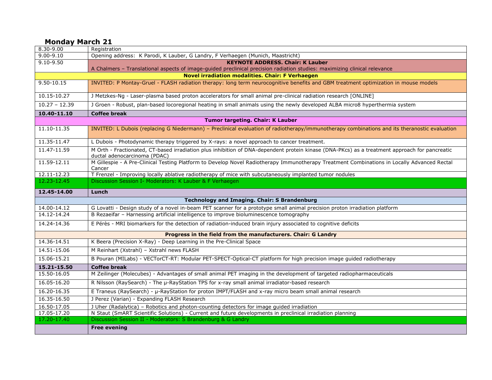#### **Monday March 21**

| 8.30-9.00                                                                                                                 | Registration                                                                                                                                                                  |  |  |  |
|---------------------------------------------------------------------------------------------------------------------------|-------------------------------------------------------------------------------------------------------------------------------------------------------------------------------|--|--|--|
| $9.00 - 9.10$                                                                                                             | Opening address: K Parodi, K Lauber, G Landry, F Verhaegen (Munich, Maastricht)                                                                                               |  |  |  |
| $9.10 - 9.50$                                                                                                             | <b>KEYNOTE ADDRESS, Chair: K Lauber</b>                                                                                                                                       |  |  |  |
| A Chalmers - Translational aspects of image-guided preclinical precision radiation studies: maximizing clinical relevance |                                                                                                                                                                               |  |  |  |
| <b>Novel irradiation modalities. Chair: F Verhaegen</b>                                                                   |                                                                                                                                                                               |  |  |  |
| $9.50 - 10.15$                                                                                                            | INVITED: P Montay-Gruel - FLASH radiation therapy: long term neurocognitive benefits and GBM treatment optimization in mouse models                                           |  |  |  |
| 10.15-10.27                                                                                                               | J Metzkes-Ng - Laser-plasma based proton accelerators for small animal pre-clinical radiation research [ONLINE]                                                               |  |  |  |
| $10.27 - 12.39$                                                                                                           | J Groen - Robust, plan-based locoregional heating in small animals using the newly developed ALBA micro8 hyperthermia system                                                  |  |  |  |
| 10.40-11.10                                                                                                               | <b>Coffee break</b>                                                                                                                                                           |  |  |  |
|                                                                                                                           | Tumor targeting. Chair: K Lauber                                                                                                                                              |  |  |  |
| 11.10-11.35                                                                                                               | INVITED: L Dubois (replacing G Niedermann) - Preclinical evaluation of radiotherapy/immunotherapy combinations and its theranostic evaluation                                 |  |  |  |
| 11.35-11.47                                                                                                               | L Dubois - Photodynamic therapy triggered by X-rays: a novel approach to cancer treatment.                                                                                    |  |  |  |
| 11.47-11.59                                                                                                               | M Orth - Fractionated, CT-based irradiation plus inhibition of DNA-dependent protein kinase (DNA-PKcs) as a treatment approach for pancreatic<br>ductal adenocarcinoma (PDAC) |  |  |  |
| $11.59 - 12.11$                                                                                                           | M Gillespie - A Pre-Clinical Testing Platform to Develop Novel Radiotherapy Immunotherapy Treatment Combinations in Locally Advanced Rectal<br>Cancer                         |  |  |  |
| $12.11 - 12.23$                                                                                                           | T Frenzel - Improving locally ablative radiotherapy of mice with subcutaneously implanted tumor nodules                                                                       |  |  |  |
| 12.23-12.45                                                                                                               | Discussion Session I- Moderators: K Lauber & F Verhaegen                                                                                                                      |  |  |  |
| 12.45-14.00                                                                                                               | Lunch                                                                                                                                                                         |  |  |  |
|                                                                                                                           | <b>Technology and Imaging. Chair: S Brandenburg</b>                                                                                                                           |  |  |  |
| 14.00-14.12                                                                                                               | G Lovatti - Design study of a novel in-beam PET scanner for a prototype small animal precision proton irradiation platform                                                    |  |  |  |
| 14.12-14.24                                                                                                               | B Rezaeifar - Harnessing artificial intelligence to improve bioluminescence tomography                                                                                        |  |  |  |
| 14.24-14.36                                                                                                               | E Pérès - MRI biomarkers for the detection of radiation-induced brain injury associated to cognitive deficits                                                                 |  |  |  |
| Progress in the field from the manufacturers. Chair: G Landry                                                             |                                                                                                                                                                               |  |  |  |
| 14.36-14.51                                                                                                               | K Beera (Precision X-Ray) - Deep Learning in the Pre-Clinical Space                                                                                                           |  |  |  |
| 14.51-15.06                                                                                                               | M Reinhart (Xstrahl) - Xstrahl news FLASH                                                                                                                                     |  |  |  |
| 15.06-15.21                                                                                                               | B Pouran (MILabs) - VECTorCT-RT: Modular PET-SPECT-Optical-CT platform for high precision image guided radiotherapy                                                           |  |  |  |
| 15.21-15.50                                                                                                               | <b>Coffee break</b>                                                                                                                                                           |  |  |  |
| 15.50-16.05                                                                                                               | M Zeilinger (Molecubes) - Advantages of small animal PET imaging in the development of targeted radiopharmaceuticals                                                          |  |  |  |
| 16.05-16.20                                                                                                               | R Nilsson (RaySearch) - The µ-RayStation TPS for x-ray small animal irradiator-based research                                                                                 |  |  |  |
| 16.20-16.35                                                                                                               | E Traneus (RaySearch) - µ-RayStation for proton IMPT/FLASH and x-ray micro beam small animal research                                                                         |  |  |  |
| 16.35-16.50                                                                                                               | J Perez (Varian) - Expanding FLASH Research                                                                                                                                   |  |  |  |
| 16.50-17.05                                                                                                               | J Uher (Radalytica) - Robotics and photon-counting detectors for image guided irradiation                                                                                     |  |  |  |
| 17.05-17.20                                                                                                               | N Staut (SmART Scientific Solutions) - Current and future developments in preclinical irradiation planning                                                                    |  |  |  |
| 17.20-17.40                                                                                                               | Discussion Session II - Moderators: S Brandenburg & G Landry                                                                                                                  |  |  |  |
|                                                                                                                           | <b>Free evening</b>                                                                                                                                                           |  |  |  |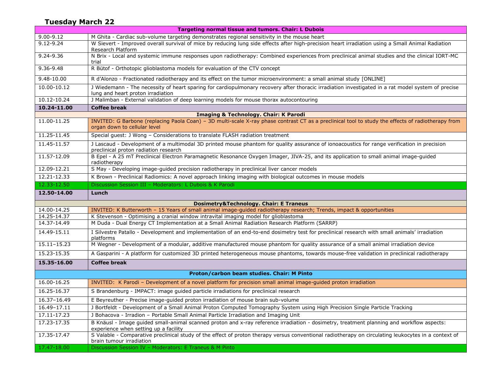#### **Tuesday March 22**

| <b>Targeting normal tissue and tumors. Chair: L Dubois</b> |                                                                                                                                                                                               |  |  |  |
|------------------------------------------------------------|-----------------------------------------------------------------------------------------------------------------------------------------------------------------------------------------------|--|--|--|
| $9.00 - 9.12$                                              | M Ghita - Cardiac sub-volume targeting demonstrates regional sensitivity in the mouse heart                                                                                                   |  |  |  |
| $9.12 - 9.24$                                              | W Sievert - Improved overall survival of mice by reducing lung side effects after high-precision heart irradiation using a Small Animal Radiation<br>Research Platform                        |  |  |  |
| 9.24-9.36                                                  | N Brix - Local and systemic immune responses upon radiotherapy: Combined experiences from preclinical animal studies and the clinical IORT-MC<br>trial                                        |  |  |  |
| 9.36-9.48                                                  | R Bütof - Orthotopic glioblastoma models for evaluation of the CTV concept                                                                                                                    |  |  |  |
| 9.48-10.00                                                 | R d'Alonzo - Fractionated radiotherapy and its effect on the tumor microenvironment: a small animal study [ONLINE]                                                                            |  |  |  |
| 10.00-10.12                                                | J Wiedemann - The necessity of heart sparing for cardiopulmonary recovery after thoracic irradiation investigated in a rat model system of precise<br>lung and heart proton irradiation       |  |  |  |
| 10.12-10.24                                                | J Malimban - External validation of deep learning models for mouse thorax autocontouring                                                                                                      |  |  |  |
| 10.24-11.00                                                | <b>Coffee break</b>                                                                                                                                                                           |  |  |  |
|                                                            | <b>Imaging &amp; Technology. Chair: K Parodi</b>                                                                                                                                              |  |  |  |
| 11.00-11.25                                                | INVITED: G Barbone (replacing Paola Coan) - 3D multi-scale X-ray phase contrast CT as a preclinical tool to study the effects of radiotherapy from<br>organ down to cellular level            |  |  |  |
| 11.25-11.45                                                | Special guest: J Wong - Considerations to translate FLASH radiation treatment                                                                                                                 |  |  |  |
| 11.45-11.57                                                | J Lascaud - Development of a multimodal 3D printed mouse phantom for quality assurance of ionoacoustics for range verification in precision<br>preclinical proton radiation research          |  |  |  |
| 11.57-12.09                                                | B Epel - A 25 mT Preclinical Electron Paramagnetic Resonance Oxygen Imager, JIVA-25, and its application to small animal image-guided<br>radiotherapy                                         |  |  |  |
| 12.09-12.21                                                | S May - Developing image-guided precision radiotherapy in preclinical liver cancer models                                                                                                     |  |  |  |
| 12.21-12.33                                                | K Brown - Preclinical Radiomics: A novel approach linking imaging with biological outcomes in mouse models                                                                                    |  |  |  |
| 12.33-12.50                                                | Discussion Session III - Moderators: L Dubois & K Parodi                                                                                                                                      |  |  |  |
|                                                            |                                                                                                                                                                                               |  |  |  |
| 12.50-14.00                                                | Lunch                                                                                                                                                                                         |  |  |  |
|                                                            | <b>Dosimetry&amp;Technology. Chair: E Traneus</b>                                                                                                                                             |  |  |  |
| 14.00-14.25                                                | INVITED: K Butterworth - 15 Years of small animal image-guided radiotherapy research; Trends, impact & opportunities                                                                          |  |  |  |
| 14.25-14.37                                                | K Stevenson - Optimising a cranial window intravital imaging model for glioblastoma                                                                                                           |  |  |  |
| 14.37-14.49                                                | M Duda - Dual Energy CT Implementation at a Small Animal Radiation Research Platform (SARRP)                                                                                                  |  |  |  |
| 14.49-15.11                                                | I Silvestre Patallo - Development and implementation of an end-to-end dosimetry test for preclinical research with small animals' irradiation<br>platforms                                    |  |  |  |
| 15.11-15.23                                                | M Wegner - Development of a modular, additive manufactured mouse phantom for quality assurance of a small animal irradiation device                                                           |  |  |  |
| 15.23-15.35                                                | A Gasparini - A platform for customized 3D printed heterogeneous mouse phantoms, towards mouse-free validation in preclinical radiotherapy                                                    |  |  |  |
| 15.35-16.00                                                | <b>Coffee break</b>                                                                                                                                                                           |  |  |  |
|                                                            | Proton/carbon beam studies. Chair: M Pinto                                                                                                                                                    |  |  |  |
| 16.00-16.25                                                | INVITED: K Parodi - Development of a novel platform for precision small animal image-guided proton irradiation                                                                                |  |  |  |
| 16.25-16.37                                                | S Brandenburg - IMPACT: image guided particle irradiations for preclinical research                                                                                                           |  |  |  |
| 16.37-16.49                                                | E Beyreuther - Precise image-guided proton irradiation of mouse brain sub-volume                                                                                                              |  |  |  |
| 16.49-17.11                                                | J Bortfeldt - Development of a Small Animal Proton Computed Tomography System using High Precision Single Particle Tracking                                                                   |  |  |  |
| 17.11-17.23                                                | J Bohacova - Irradion - Portable Small Animal Particle Irradiation and Imaging Unit                                                                                                           |  |  |  |
| 17.23-17.35                                                | B Knäusl - Image guided small-animal scanned proton and x-ray reference irradiation - dosimetry, treatment planning and workflow aspects:                                                     |  |  |  |
| 17.35-17.47                                                | experience when setting up a facility<br>S Valable - Comparative preclinical study of the effect of proton therapy versus conventional radiotherapy on circulating leukocytes in a context of |  |  |  |
| 17.47-18.00                                                | brain tumour irradiation<br>Discussion Session IV - Moderators: E Traneus & M Pinto                                                                                                           |  |  |  |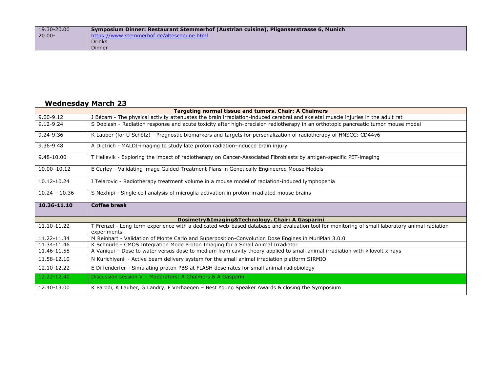| 19.30-20.00          | Symposium Dinner: Restaurant Stemmerhof (Austrian cuisine), Pliganserstrasse 6, Munich |
|----------------------|----------------------------------------------------------------------------------------|
| $20.00$ <sup>-</sup> | https://www.stemmerhof.de/altescheune.html                                             |
|                      | <b>Drinks</b>                                                                          |
|                      | Dinner                                                                                 |

## **Wednesday March 23**

| <b>Targeting normal tissue and tumors. Chair: A Chalmers</b> |                                                                                                                                                              |  |  |  |
|--------------------------------------------------------------|--------------------------------------------------------------------------------------------------------------------------------------------------------------|--|--|--|
| $9.00 - 9.12$                                                | J Bécam - The physical activity attenuates the brain irradiation-induced cerebral and skeletal muscle injuries in the adult rat                              |  |  |  |
| $9.12 - 9.24$                                                | S Dobiash - Radiation response and acute toxicity after high-precision radiotherapy in an orthotopic pancreatic tumor mouse model                            |  |  |  |
| 9.24-9.36                                                    | K Lauber (for U Schötz) - Prognostic biomarkers and targets for personalization of radiotherapy of HNSCC: CD44v6                                             |  |  |  |
| 9.36-9.48                                                    | A Dietrich - MALDI-imaging to study late proton radiation-induced brain injury                                                                               |  |  |  |
| $9.48 - 10.00$                                               | T Hellevik - Exploring the impact of radiotherapy on Cancer-Associated Fibroblasts by antigen-specific PET-imaging                                           |  |  |  |
| 10.00-10.12                                                  | E Curley - Validating image Guided Treatment Plans in Genetically Engineered Mouse Models                                                                    |  |  |  |
| 10.12-10.24                                                  | I Telarovic - Radiotherapy treatment volume in a mouse model of radiation-induced lymphopenia                                                                |  |  |  |
| $10.24 - 10.36$                                              | S Nexhipi - Single cell analysis of microglia activation in proton-irradiated mouse brains                                                                   |  |  |  |
|                                                              |                                                                                                                                                              |  |  |  |
| 10.36-11.10                                                  | <b>Coffee break</b>                                                                                                                                          |  |  |  |
|                                                              | Dosimetry&Imaging&Technology. Chair: A Gasparini                                                                                                             |  |  |  |
| 11.10-11.22                                                  | T Frenzel - Long term experience with a dedicated web-based database and evaluation tool for monitoring of small laboratory animal radiation<br>experiments  |  |  |  |
| 11.22-11.34                                                  | M Reinhart - Validation of Monte Carlo and Superposition-Convolution Dose Engines in MuriPlan 3.0.0                                                          |  |  |  |
| 11.34-11.46                                                  | K Schnürle - CMOS Integration Mode Proton Imaging for a Small Animal Irradiator                                                                              |  |  |  |
| 11.46-11.58                                                  | A Vaniqui - Dose to water versus dose to medium from cavity theory applied to small animal irradiation with kilovolt x-rays                                  |  |  |  |
| 11.58-12.10                                                  | N Kurichiyanil - Active beam delivery system for the small animal irradiation platform SIRMIO                                                                |  |  |  |
| 12.10-12.22                                                  | E Diffenderfer - Simulating proton PBS at FLASH dose rates for small animal radiobiology                                                                     |  |  |  |
| 12.22-12.40                                                  | Discussion session V - Moderators: A Chalmers & A Gasparini<br>K Parodi, K Lauber, G Landry, F Verhaegen - Best Young Speaker Awards & closing the Symposium |  |  |  |